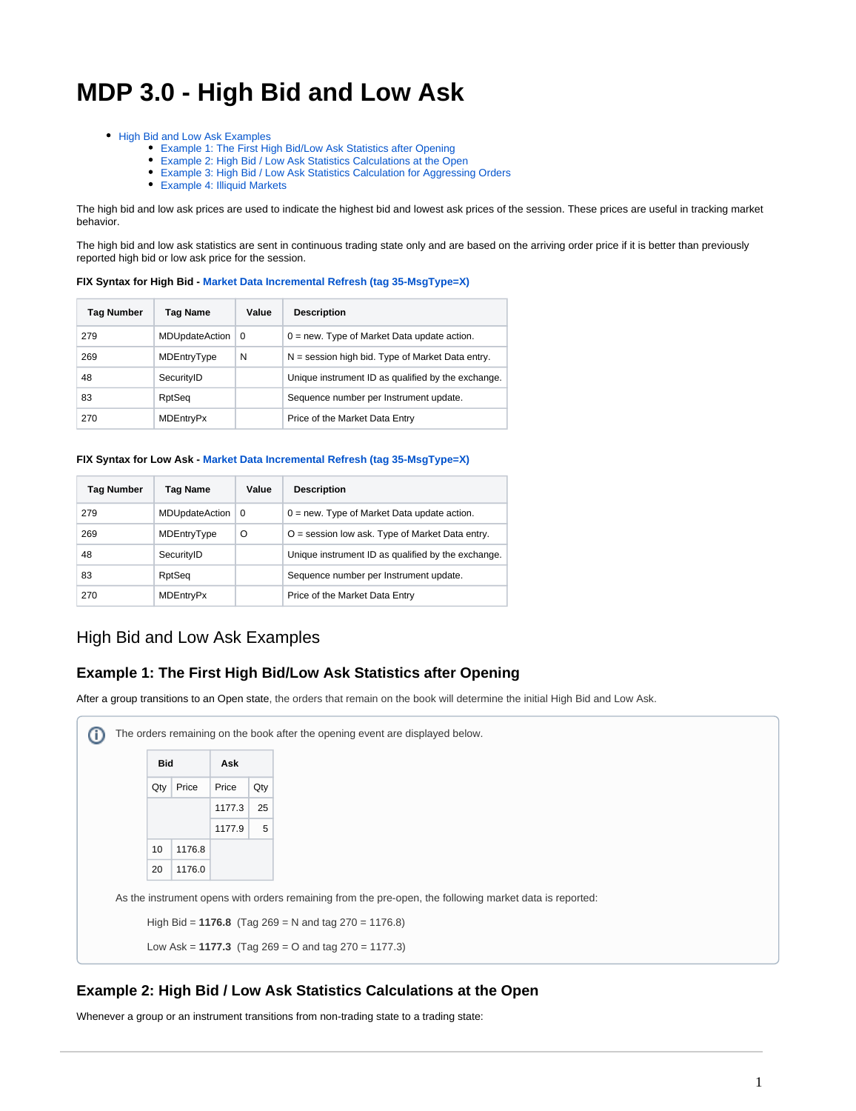# **MDP 3.0 - High Bid and Low Ask**

- [High Bid and Low Ask Examples](#page-0-0)
	- [Example 1: The First High Bid/Low Ask Statistics after Opening](#page-0-1)
	- [Example 2: High Bid / Low Ask Statistics Calculations at the Open](#page-0-2)
	- [Example 3: High Bid / Low Ask Statistics Calculation for Aggressing Orders](#page-1-0)
	- [Example 4: Illiquid Markets](#page-1-1)

The high bid and low ask prices are used to indicate the highest bid and lowest ask prices of the session. These prices are useful in tracking market behavior.

The high bid and low ask statistics are sent in continuous trading state only and are based on the arriving order price if it is better than previously reported high bid or low ask price for the session.

#### **FIX Syntax for High Bid - [Market Data Incremental Refresh \(tag 35-MsgType=X\)](https://www.cmegroup.com/confluence/display/EPICSANDBOX/MDP+3.0+-+Market+Data+Incremental+Refresh)**

| <b>Tag Number</b> | Tag Name              | Value | <b>Description</b>                                 |
|-------------------|-----------------------|-------|----------------------------------------------------|
| 279               | <b>MDUpdateAction</b> | - 0   | $0 = new$ . Type of Market Data update action.     |
| 269               | MDEntryType           | N     | $N =$ session high bid. Type of Market Data entry. |
| 48                | SecurityID            |       | Unique instrument ID as qualified by the exchange. |
| 83                | RptSeq                |       | Sequence number per Instrument update.             |
| 270               | <b>MDEntryPx</b>      |       | Price of the Market Data Entry                     |

#### **FIX Syntax for Low Ask - [Market Data Incremental Refresh \(tag 35-MsgType=X\)](https://www.cmegroup.com/confluence/display/EPICSANDBOX/MDP+3.0+-+Market+Data+Incremental+Refresh)**

| <b>Tag Number</b> | Tag Name         | Value    | <b>Description</b>                                 |
|-------------------|------------------|----------|----------------------------------------------------|
| 279               | MDUpdateAction   | $\Omega$ | $0 = new$ . Type of Market Data update action.     |
| 269               | MDEntryType      | $\Omega$ | O = session low ask. Type of Market Data entry.    |
| 48                | SecurityID       |          | Unique instrument ID as qualified by the exchange. |
| 83                | RptSeq           |          | Sequence number per Instrument update.             |
| 270               | <b>MDEntryPx</b> |          | Price of the Market Data Entry                     |

## <span id="page-0-0"></span>High Bid and Low Ask Examples

#### <span id="page-0-1"></span>**Example 1: The First High Bid/Low Ask Statistics after Opening**

After a group transitions to an Open state, the orders that remain on the book will determine the initial High Bid and Low Ask.



#### <span id="page-0-2"></span>**Example 2: High Bid / Low Ask Statistics Calculations at the Open**

Whenever a group or an instrument transitions from non-trading state to a trading state: